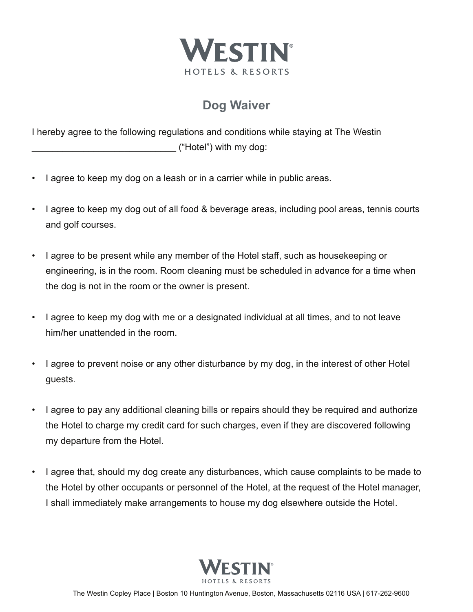

## **Dog Waiver**

I hereby agree to the following regulations and conditions while staying at The Westin ("Hotel") with my dog:

- I agree to keep my dog on a leash or in a carrier while in public areas.
- I agree to keep my dog out of all food & beverage areas, including pool areas, tennis courts and golf courses.
- I agree to be present while any member of the Hotel staff, such as housekeeping or engineering, is in the room. Room cleaning must be scheduled in advance for a time when the dog is not in the room or the owner is present.
- I agree to keep my dog with me or a designated individual at all times, and to not leave him/her unattended in the room.
- I agree to prevent noise or any other disturbance by my dog, in the interest of other Hotel guests.
- I agree to pay any additional cleaning bills or repairs should they be required and authorize the Hotel to charge my credit card for such charges, even if they are discovered following my departure from the Hotel.
- I agree that, should my dog create any disturbances, which cause complaints to be made to the Hotel by other occupants or personnel of the Hotel, at the request of the Hotel manager, I shall immediately make arrangements to house my dog elsewhere outside the Hotel.

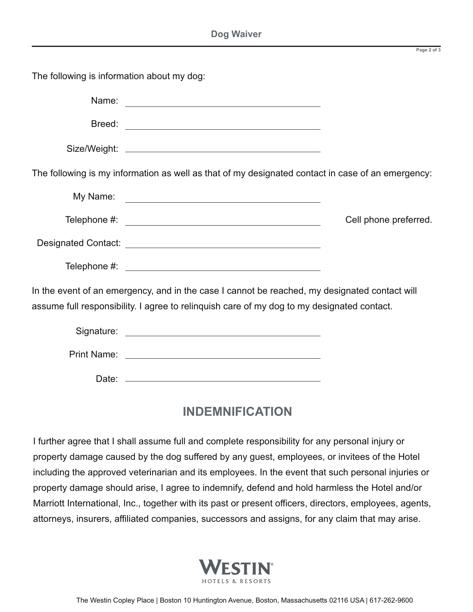**Page 2 of 3**

The following is information about my dog: Name: 2008. 2009. 2009. 2009. 2009. 2009. 2009. 2009. 2009. 2009. 2009. 2009. 2009. 2009. 2009. 2009. 2009. 20 Breed: Size/Weight: The following is my information as well as that of my designated contact in case of an emergency: My Name: Telephone #:  $\qquad \qquad$ Designated Contact: **Designated Contact:**  Telephone #: In the event of an emergency, and in the case I cannot be reached, my designated contact will assume full responsibility. I agree to relinquish care of my dog to my designated contact. Signature: **Signature: Signature: Signature: Signature: Signature: Signature: Signature: Signature: Signature: Signature: Signature: Signature: Signature: Signature: Signature: Signature: Si**  Print Name: Date:

## **INDEMNIFICATION**

I further agree that I shall assume full and complete responsibility for any personal injury or property damage caused by the dog suffered by any guest, employees, or invitees of the Hotel including the approved veterinarian and its employees. In the event that such personal injuries or property damage should arise, I agree to indemnify, defend and hold harmless the Hotel and/or Marriott International, Inc., together with its past or present officers, directors, employees, agents, attorneys, insurers, affiliated companies, successors and assigns, for any claim that may arise.